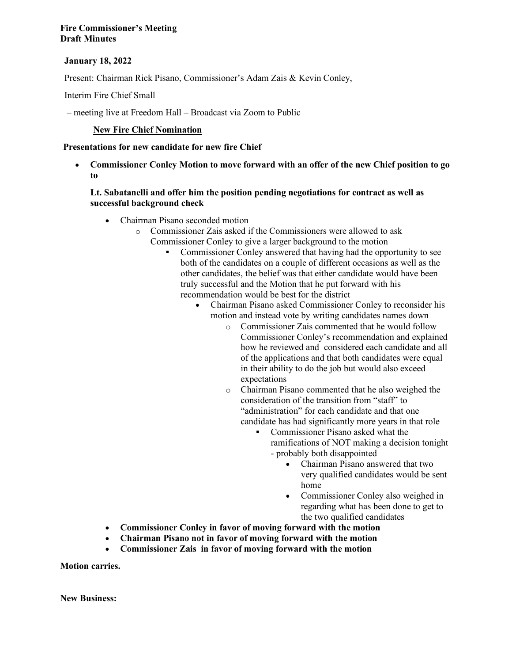## **January 18, 2022**

Present: Chairman Rick Pisano, Commissioner's Adam Zais & Kevin Conley,

Interim Fire Chief Small

– meeting live at Freedom Hall – Broadcast via Zoom to Public

### **New Fire Chief Nomination**

#### **Presentations for new candidate for new fire Chief**

• **Commissioner Conley Motion to move forward with an offer of the new Chief position to go to**

### **Lt. Sabatanelli and offer him the position pending negotiations for contract as well as successful background check**

- Chairman Pisano seconded motion
	- o Commissioner Zais asked if the Commissioners were allowed to ask Commissioner Conley to give a larger background to the motion
		- § Commissioner Conley answered that having had the opportunity to see both of the candidates on a couple of different occasions as well as the other candidates, the belief was that either candidate would have been truly successful and the Motion that he put forward with his recommendation would be best for the district
			- Chairman Pisano asked Commissioner Conley to reconsider his motion and instead vote by writing candidates names down
				- o Commissioner Zais commented that he would follow Commissioner Conley's recommendation and explained how he reviewed and considered each candidate and all of the applications and that both candidates were equal in their ability to do the job but would also exceed expectations
				- o Chairman Pisano commented that he also weighed the consideration of the transition from "staff" to "administration" for each candidate and that one candidate has had significantly more years in that role
					- § Commissioner Pisano asked what the ramifications of NOT making a decision tonight - probably both disappointed
						- Chairman Pisano answered that two very qualified candidates would be sent home
						- Commissioner Conley also weighed in regarding what has been done to get to the two qualified candidates
- **Commissioner Conley in favor of moving forward with the motion**
- **Chairman Pisano not in favor of moving forward with the motion**
- **Commissioner Zais in favor of moving forward with the motion**

**Motion carries.**

**New Business:**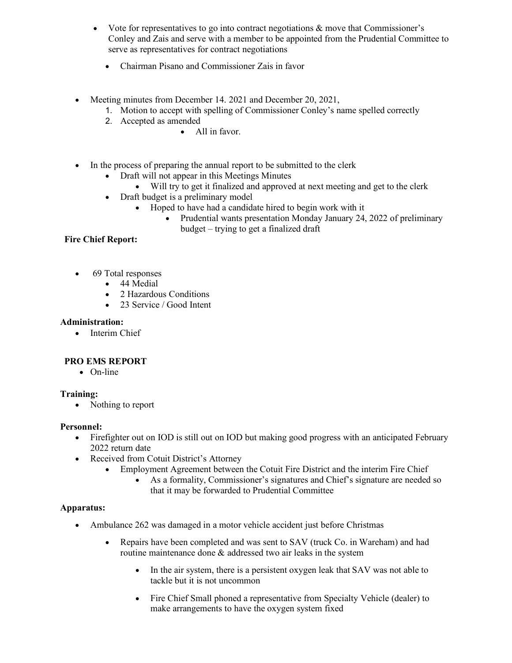- Vote for representatives to go into contract negotiations  $\&$  move that Commissioner's Conley and Zais and serve with a member to be appointed from the Prudential Committee to serve as representatives for contract negotiations
	- Chairman Pisano and Commissioner Zais in favor
- Meeting minutes from December 14. 2021 and December 20, 2021,
	- 1. Motion to accept with spelling of Commissioner Conley's name spelled correctly
	- 2. Accepted as amended
		- All in favor.
- In the process of preparing the annual report to be submitted to the clerk
	- Draft will not appear in this Meetings Minutes
		- Will try to get it finalized and approved at next meeting and get to the clerk
	- Draft budget is a preliminary model
		- Hoped to have had a candidate hired to begin work with it
			- Prudential wants presentation Monday January 24, 2022 of preliminary budget – trying to get a finalized draft

# **Fire Chief Report:**

- 69 Total responses
	- 44 Medial
	- 2 Hazardous Conditions
	- 23 Service / Good Intent

## **Administration:**

• Interim Chief

## **PRO EMS REPORT**

• On-line

## **Training:**

• Nothing to report

## **Personnel:**

- Firefighter out on IOD is still out on IOD but making good progress with an anticipated February 2022 return date
- Received from Cotuit District's Attorney
	- Employment Agreement between the Cotuit Fire District and the interim Fire Chief
		- As a formality, Commissioner's signatures and Chief's signature are needed so that it may be forwarded to Prudential Committee

## **Apparatus:**

- Ambulance 262 was damaged in a motor vehicle accident just before Christmas
	- Repairs have been completed and was sent to SAV (truck Co. in Wareham) and had routine maintenance done & addressed two air leaks in the system
		- In the air system, there is a persistent oxygen leak that SAV was not able to tackle but it is not uncommon
		- Fire Chief Small phoned a representative from Specialty Vehicle (dealer) to make arrangements to have the oxygen system fixed